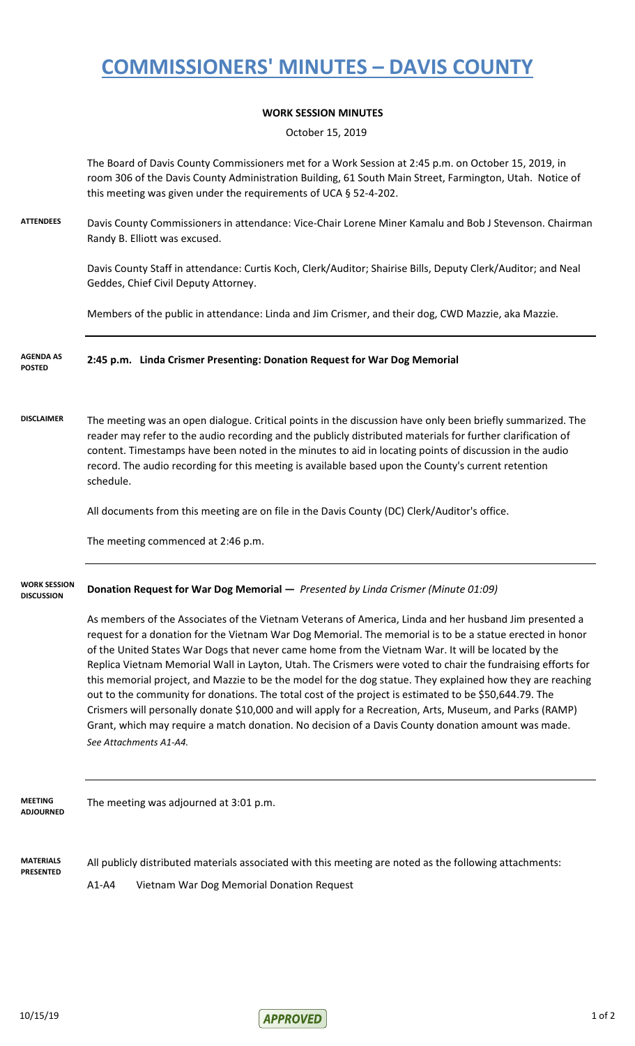## **COMMISSIONERS' MINUTES – DAVIS COUNTY**

### **WORK SESSION MINUTES**

October 15, 2019

The Board of Davis County Commissioners met for a Work Session at 2:45 p.m. on October 15, 2019, in room 306 of the Davis County Administration Building, 61 South Main Street, Farmington, Utah. Notice of this meeting was given under the requirements of UCA § 52-4-202.

**ATTENDEES** Davis County Commissioners in attendance: Vice-Chair Lorene Miner Kamalu and Bob J Stevenson. Chairman Randy B. Elliott was excused.

> Davis County Staff in attendance: Curtis Koch, Clerk/Auditor; Shairise Bills, Deputy Clerk/Auditor; and Neal Geddes, Chief Civil Deputy Attorney.

Members of the public in attendance: Linda and Jim Crismer, and their dog, CWD Mazzie, aka Mazzie.

#### **2:45 p.m. Linda Crismer Presenting: Donation Request for War Dog Memorial AGENDA AS POSTED**

**DISCLAIMER** The meeting was an open dialogue. Critical points in the discussion have only been briefly summarized. The reader may refer to the audio recording and the publicly distributed materials for further clarification of content. Timestamps have been noted in the minutes to aid in locating points of discussion in the audio record. The audio recording for this meeting is available based upon the County's current retention schedule.

All documents from this meeting are on file in the Davis County (DC) Clerk/Auditor's office.

The meeting commenced at 2:46 p.m.

#### **Donation Request for War Dog Memorial —** *Presented by Linda Crismer (Minute 01:09)* **WORK SESSION DISCUSSION**

As members of the Associates of the Vietnam Veterans of America, Linda and her husband Jim presented a request for a donation for the Vietnam War Dog Memorial. The memorial is to be a statue erected in honor of the United States War Dogs that never came home from the Vietnam War. It will be located by the Replica Vietnam Memorial Wall in Layton, Utah. The Crismers were voted to chair the fundraising efforts for this memorial project, and Mazzie to be the model for the dog statue. They explained how they are reaching out to the community for donations. The total cost of the project is estimated to be \$50,644.79. The Crismers will personally donate \$10,000 and will apply for a Recreation, Arts, Museum, and Parks (RAMP) Grant, which may require a match donation. No decision of a Davis County donation amount was made. *See Attachments A1-A4.*

The meeting was adjourned at 3:01 p.m. **MEETING ADJOURNED**

**MATERIALS PRESENTED** All publicly distributed materials associated with this meeting are noted as the following attachments: A1-A4 Vietnam War Dog Memorial Donation Request

 $\mathsf{APPROVFD}$  10/15/19 1 of 2